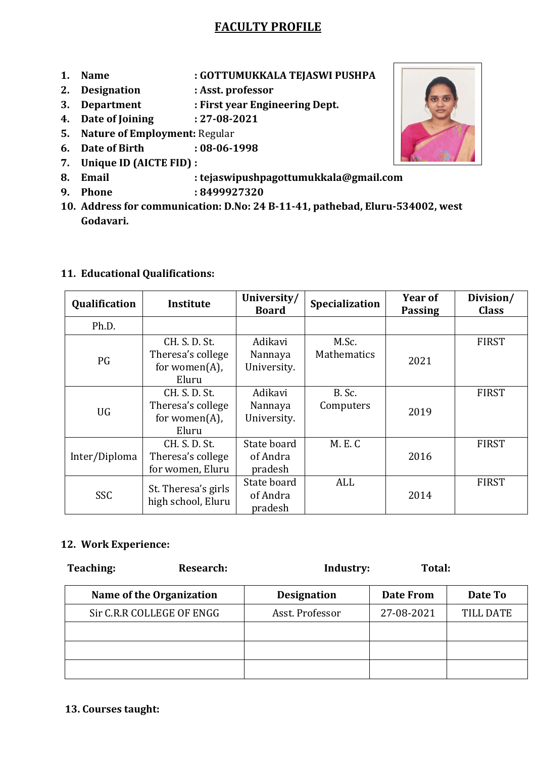# **FACULTY PROFILE**

- **1. Name : GOTTUMUKKALA TEJASWI PUSHPA**
- **2. Designation : Asst. professor**
- **3. Department : First year Engineering Dept.**
- **4. Date of Joining : 27-08-2021**
- **5. Nature of Employment:** Regular
- **6. Date of Birth : 08-06-1998**
- **7. Unique ID (AICTE FID) :**
- **8. Email : tejaswipushpagottumukkala@gmail.com**
- **9. Phone : 8499927320**
- **10. Address for communication: D.No: 24 B-11-41, pathebad, Eluru-534002, west Godavari.**

### **11. Educational Qualifications:**

| Qualification | Institute                                                        | University/<br><b>Board</b>        | Specialization              | Year of<br><b>Passing</b> | Division/<br><b>Class</b> |
|---------------|------------------------------------------------------------------|------------------------------------|-----------------------------|---------------------------|---------------------------|
| Ph.D.         |                                                                  |                                    |                             |                           |                           |
| PG            | CH. S. D. St.<br>Theresa's college<br>for women $(A)$ ,<br>Eluru | Adikavi<br>Nannaya<br>University.  | M.Sc.<br><b>Mathematics</b> | 2021                      | <b>FIRST</b>              |
| <b>UG</b>     | CH. S. D. St.<br>Theresa's college<br>for women $(A)$ ,<br>Eluru | Adikavi<br>Nannaya<br>University.  | B. Sc.<br>Computers         | 2019                      | <b>FIRST</b>              |
| Inter/Diploma | CH. S. D. St.<br>Theresa's college<br>for women, Eluru           | State board<br>of Andra<br>pradesh | <b>M. E. C</b>              | 2016                      | <b>FIRST</b>              |
| SSC           | St. Theresa's girls<br>high school, Eluru                        | State board<br>of Andra<br>pradesh | ALL                         | 2014                      | <b>FIRST</b>              |

#### **12. Work Experience:**

| Teaching: | Research:                 | Industry:          | Total:     |                  |
|-----------|---------------------------|--------------------|------------|------------------|
|           | Name of the Organization  | <b>Designation</b> | Date From  | Date To          |
|           | Sir C.R.R COLLEGE OF ENGG | Asst. Professor    | 27-08-2021 | <b>TILL DATE</b> |
|           |                           |                    |            |                  |
|           |                           |                    |            |                  |
|           |                           |                    |            |                  |



#### **13. Courses taught:**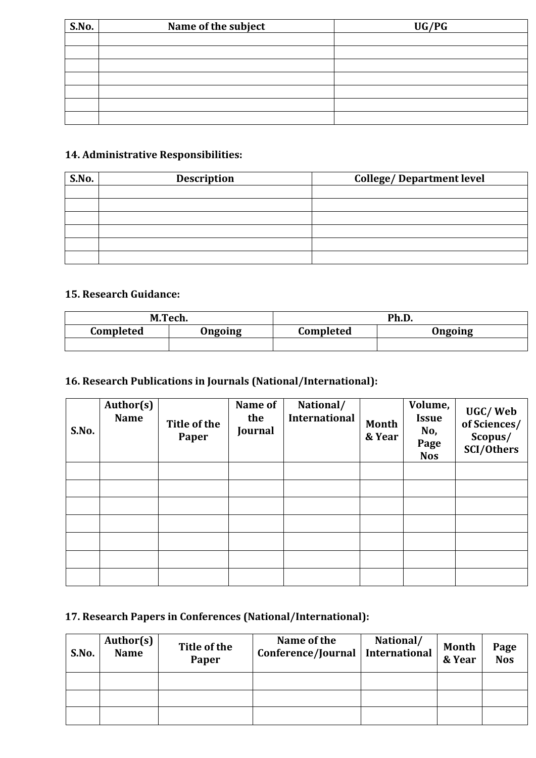| Name of the subject<br>S.No. |  | UG/PG |
|------------------------------|--|-------|
|                              |  |       |
|                              |  |       |
|                              |  |       |
|                              |  |       |
|                              |  |       |
|                              |  |       |
|                              |  |       |

### **14. Administrative Responsibilities:**

| S.No. | <b>Description</b> | <b>College/Department level</b> |
|-------|--------------------|---------------------------------|
|       |                    |                                 |
|       |                    |                                 |
|       |                    |                                 |
|       |                    |                                 |
|       |                    |                                 |
|       |                    |                                 |

## **15. Research Guidance:**

| M.Tech.   |         | Ph.D.     |         |  |
|-----------|---------|-----------|---------|--|
| Completed | Ongoing | Completed | Ongoing |  |
|           |         |           |         |  |

# **16. Research Publications in Journals (National/International):**

| S.No. | Author(s)<br><b>Name</b> | Title of the<br>Paper | Name of<br>the<br>Journal | National/<br>International | <b>Month</b><br>& Year | Volume,<br><b>Issue</b><br>No,<br>Page<br><b>Nos</b> | UGC/Web<br>of Sciences/<br>Scopus/<br><b>SCI/Others</b> |
|-------|--------------------------|-----------------------|---------------------------|----------------------------|------------------------|------------------------------------------------------|---------------------------------------------------------|
|       |                          |                       |                           |                            |                        |                                                      |                                                         |
|       |                          |                       |                           |                            |                        |                                                      |                                                         |
|       |                          |                       |                           |                            |                        |                                                      |                                                         |
|       |                          |                       |                           |                            |                        |                                                      |                                                         |
|       |                          |                       |                           |                            |                        |                                                      |                                                         |
|       |                          |                       |                           |                            |                        |                                                      |                                                         |
|       |                          |                       |                           |                            |                        |                                                      |                                                         |

### **17. Research Papers in Conferences (National/International):**

| S.No. | Author(s)<br><b>Name</b> | Title of the<br>Paper | Name of the<br>Conference/Journal | National/<br><b>International</b> | Month<br>& Year | Page<br><b>Nos</b> |
|-------|--------------------------|-----------------------|-----------------------------------|-----------------------------------|-----------------|--------------------|
|       |                          |                       |                                   |                                   |                 |                    |
|       |                          |                       |                                   |                                   |                 |                    |
|       |                          |                       |                                   |                                   |                 |                    |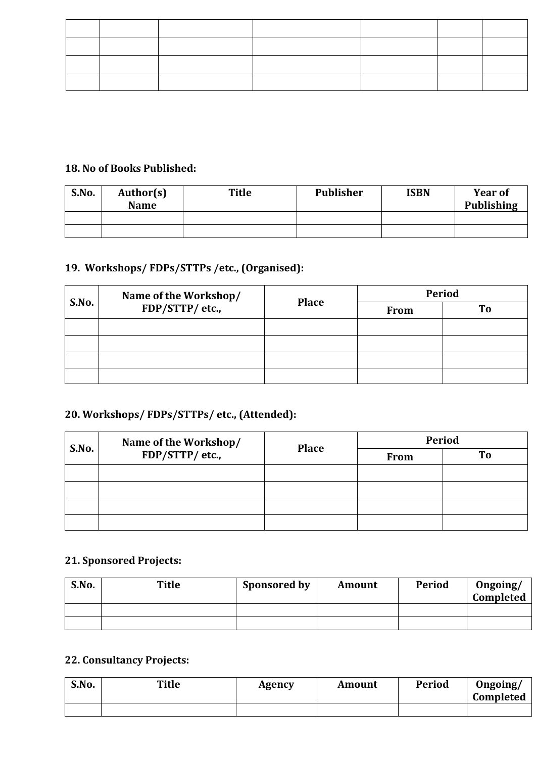#### **18. No of Books Published:**

| S.No. | Author(s)<br><b>Name</b> | <b>Title</b> | <b>Publisher</b> | <b>ISBN</b> | <b>Year of</b><br><b>Publishing</b> |
|-------|--------------------------|--------------|------------------|-------------|-------------------------------------|
|       |                          |              |                  |             |                                     |
|       |                          |              |                  |             |                                     |

# **19. Workshops/ FDPs/STTPs /etc., (Organised):**

| S.No. | Name of the Workshop/<br>FDP/STTP/ etc., | <b>Place</b> | <b>Period</b> |    |  |
|-------|------------------------------------------|--------------|---------------|----|--|
|       |                                          |              | <b>From</b>   | To |  |
|       |                                          |              |               |    |  |
|       |                                          |              |               |    |  |
|       |                                          |              |               |    |  |
|       |                                          |              |               |    |  |

# **20. Workshops/ FDPs/STTPs/ etc., (Attended):**

| S.No. | Name of the Workshop/<br>FDP/STTP/ etc., | <b>Place</b> | <b>Period</b> |    |  |
|-------|------------------------------------------|--------------|---------------|----|--|
|       |                                          |              | <b>From</b>   | To |  |
|       |                                          |              |               |    |  |
|       |                                          |              |               |    |  |
|       |                                          |              |               |    |  |
|       |                                          |              |               |    |  |

# **21. Sponsored Projects:**

| S.No. | <b>Title</b> | <b>Sponsored by</b> | <b>Amount</b> | <b>Period</b> | Ongoing/<br>Completed |
|-------|--------------|---------------------|---------------|---------------|-----------------------|
|       |              |                     |               |               |                       |
|       |              |                     |               |               |                       |

# **22. Consultancy Projects:**

| S.No. | <b>Title</b> | Agency | Amount | <b>Period</b> | Ongoing/<br>Completed |
|-------|--------------|--------|--------|---------------|-----------------------|
|       |              |        |        |               |                       |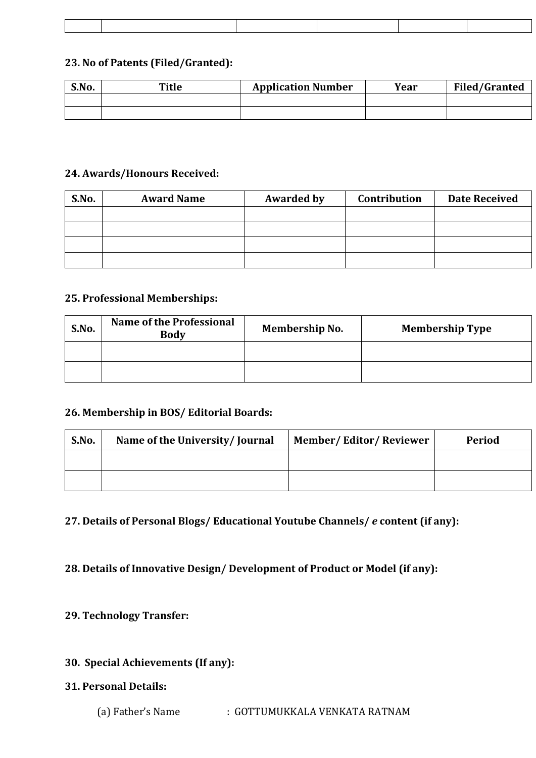#### **23. No of Patents (Filed/Granted):**

| S.No. | Title | <b>Application Number</b> | Year | <b>Filed/Granted</b> |
|-------|-------|---------------------------|------|----------------------|
|       |       |                           |      |                      |
|       |       |                           |      |                      |

#### **24. Awards/Honours Received:**

| S.No. | <b>Award Name</b> | <b>Awarded by</b> | Contribution | <b>Date Received</b> |
|-------|-------------------|-------------------|--------------|----------------------|
|       |                   |                   |              |                      |
|       |                   |                   |              |                      |
|       |                   |                   |              |                      |
|       |                   |                   |              |                      |

#### **25. Professional Memberships:**

| S.No. | <b>Name of the Professional</b><br><b>Body</b> | <b>Membership No.</b> | <b>Membership Type</b> |
|-------|------------------------------------------------|-----------------------|------------------------|
|       |                                                |                       |                        |
|       |                                                |                       |                        |

#### **26. Membership in BOS/ Editorial Boards:**

| S.No. | Name of the University/Journal | <b>Member/Editor/Reviewer</b> | <b>Period</b> |
|-------|--------------------------------|-------------------------------|---------------|
|       |                                |                               |               |
|       |                                |                               |               |

**27. Details of Personal Blogs/ Educational Youtube Channels/** *e* **content (if any):**

**28. Details of Innovative Design/ Development of Product or Model (if any):**

**29. Technology Transfer:** 

### **30. Special Achievements (If any):**

#### **31. Personal Details:**

(a) Father's Name : GOTTUMUKKALA VENKATA RATNAM